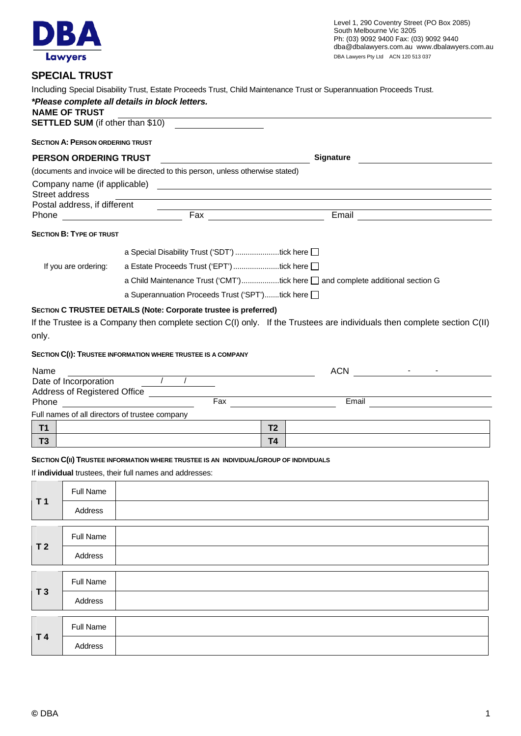

## **SPECIAL TRUST**

|                | <b>NAME OF TRUST</b>                    | *Please complete all details in block letters.                                                                                                   |                                                                                  |                | Including Special Disability Trust, Estate Proceeds Trust, Child Maintenance Trust or Superannuation Proceeds Trust.     |  |  |
|----------------|-----------------------------------------|--------------------------------------------------------------------------------------------------------------------------------------------------|----------------------------------------------------------------------------------|----------------|--------------------------------------------------------------------------------------------------------------------------|--|--|
|                |                                         | <b>SETTLED SUM</b> (if other than \$10)                                                                                                          |                                                                                  |                |                                                                                                                          |  |  |
|                | <b>SECTION A: PERSON ORDERING TRUST</b> |                                                                                                                                                  |                                                                                  |                |                                                                                                                          |  |  |
|                | <b>PERSON ORDERING TRUST</b>            |                                                                                                                                                  |                                                                                  |                | <b>Signature</b>                                                                                                         |  |  |
|                |                                         | (documents and invoice will be directed to this person, unless otherwise stated)                                                                 |                                                                                  |                |                                                                                                                          |  |  |
|                | Street address                          |                                                                                                                                                  |                                                                                  |                |                                                                                                                          |  |  |
|                | Postal address, if different            |                                                                                                                                                  |                                                                                  |                |                                                                                                                          |  |  |
| Phone          |                                         | <b>Example 2018</b> Fax                                                                                                                          |                                                                                  |                | Email <u>__________</u>                                                                                                  |  |  |
|                | <b>SECTION B: TYPE OF TRUST</b>         |                                                                                                                                                  |                                                                                  |                |                                                                                                                          |  |  |
|                |                                         | a Special Disability Trust ('SDT') tick here                                                                                                     |                                                                                  |                |                                                                                                                          |  |  |
|                | If you are ordering:                    | a Estate Proceeds Trust ('EPT') tick here [                                                                                                      |                                                                                  |                |                                                                                                                          |  |  |
|                |                                         |                                                                                                                                                  | a Child Maintenance Trust ('CMT')tick here [ ] and complete additional section G |                |                                                                                                                          |  |  |
|                |                                         | a Superannuation Proceeds Trust ('SPT')tick here                                                                                                 |                                                                                  |                |                                                                                                                          |  |  |
| only.          |                                         | SECTION C TRUSTEE DETAILS (Note: Corporate trustee is preferred)                                                                                 |                                                                                  |                | If the Trustee is a Company then complete section C(I) only. If the Trustees are individuals then complete section C(II) |  |  |
|                |                                         | SECTION C(I): TRUSTEE INFORMATION WHERE TRUSTEE IS A COMPANY                                                                                     |                                                                                  |                |                                                                                                                          |  |  |
| Name           |                                         |                                                                                                                                                  |                                                                                  |                | the control of the control of the control<br>ACN                                                                         |  |  |
|                |                                         | Date of Incorporation $\overline{a}$ / / $\overline{a}$                                                                                          |                                                                                  |                |                                                                                                                          |  |  |
| Phone          |                                         | Address of Registered Office _____________<br><u> 1980 - Andrea Brand, amerikansk politik (</u>                                                  | Fax                                                                              |                | Email                                                                                                                    |  |  |
|                |                                         | Full names of all directors of trustee company                                                                                                   |                                                                                  |                |                                                                                                                          |  |  |
| <b>T1</b>      |                                         |                                                                                                                                                  |                                                                                  | T <sub>2</sub> |                                                                                                                          |  |  |
| T <sub>3</sub> |                                         |                                                                                                                                                  |                                                                                  | T <sub>4</sub> |                                                                                                                          |  |  |
|                |                                         | SECTION C(II) TRUSTEE INFORMATION WHERE TRUSTEE IS AN INDIVIDUAL/GROUP OF INDIVIDUALS<br>If individual trustees, their full names and addresses: |                                                                                  |                |                                                                                                                          |  |  |
|                | <b>Full Name</b>                        |                                                                                                                                                  |                                                                                  |                |                                                                                                                          |  |  |
| T <sub>1</sub> | Address                                 |                                                                                                                                                  |                                                                                  |                |                                                                                                                          |  |  |
|                | Full Name                               |                                                                                                                                                  |                                                                                  |                |                                                                                                                          |  |  |
| T <sub>2</sub> | Address                                 |                                                                                                                                                  |                                                                                  |                |                                                                                                                          |  |  |

| T <sub>3</sub> | Full Name |  |
|----------------|-----------|--|
|                | Address   |  |
| T 4            | Full Name |  |
|                | Address   |  |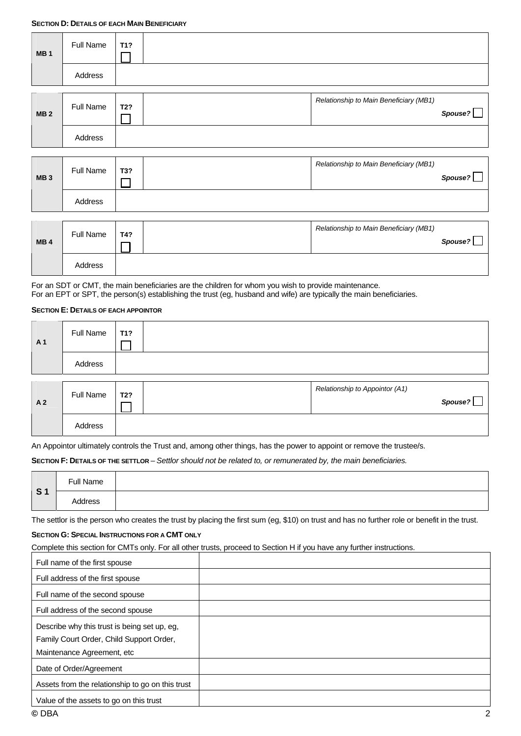| MB <sub>1</sub> | Full Name        | T1? |                                        |         |
|-----------------|------------------|-----|----------------------------------------|---------|
|                 | Address          |     |                                        |         |
| <b>MB2</b>      | <b>Full Name</b> | T2? | Relationship to Main Beneficiary (MB1) | Spouse? |
|                 | Address          |     |                                        |         |

| MB <sub>3</sub> | <b>Full Name</b> | T3? | Relationship to Main Beneficiary (MB1) | Spouse? |
|-----------------|------------------|-----|----------------------------------------|---------|
|                 | Address          |     |                                        |         |

| MB <sub>4</sub> | <b>Full Name</b> | T4? | Relationship to Main Beneficiary (MB1) | Spouse? |
|-----------------|------------------|-----|----------------------------------------|---------|
|                 | Address          |     |                                        |         |

For an SDT or CMT, the main beneficiaries are the children for whom you wish to provide maintenance. For an EPT or SPT, the person(s) establishing the trust (eg, husband and wife) are typically the main beneficiaries.

## **SECTION E: DETAILS OF EACH APPOINTOR**

| A <sub>1</sub> | Full Name | T <sub>1</sub> ? |                                           |
|----------------|-----------|------------------|-------------------------------------------|
|                | Address   |                  |                                           |
| A <sub>2</sub> | Full Name | T2?              | Relationship to Appointor (A1)<br>Spouse? |
|                | Address   |                  |                                           |

An Appointor ultimately controls the Trust and, among other things, has the power to appoint or remove the trustee/s.

## **SECTION F: DETAILS OF THE SETTLOR** – *Settlor should not be related to, or remunerated by, the main beneficiaries.*

| $\overline{\phantom{a}}$ | Full Name |  |
|--------------------------|-----------|--|
| S <sub>1</sub>           | Address   |  |

The settlor is the person who creates the trust by placing the first sum (eg, \$10) on trust and has no further role or benefit in the trust.

## **SECTION G: SPECIAL INSTRUCTIONS FOR A CMT ONLY**

Complete this section for CMTs only. For all other trusts, proceed to Section H if you have any further instructions.

| Full name of the first spouse                    |  |
|--------------------------------------------------|--|
| Full address of the first spouse                 |  |
| Full name of the second spouse                   |  |
| Full address of the second spouse                |  |
| Describe why this trust is being set up, eg,     |  |
| Family Court Order, Child Support Order,         |  |
| Maintenance Agreement, etc                       |  |
| Date of Order/Agreement                          |  |
| Assets from the relationship to go on this trust |  |
| Value of the assets to go on this trust          |  |